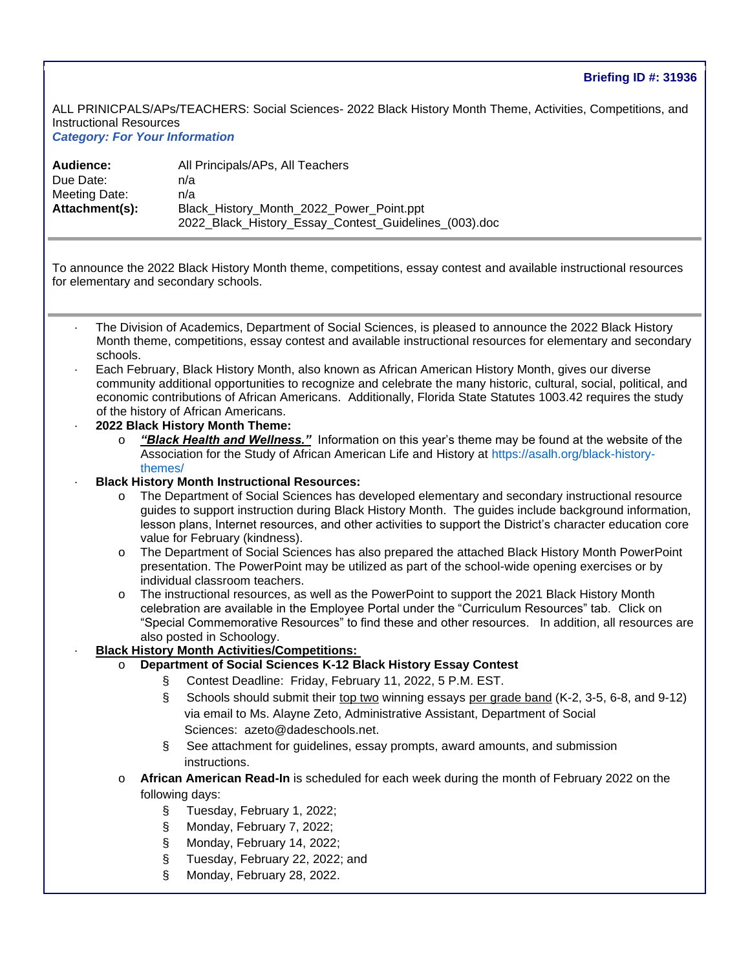ALL PRINICPALS/APs/TEACHERS: Social Sciences- 2022 Black History Month Theme, Activities, Competitions, and Instructional Resources *Category: For Your Information* 

| Audience:      | All Principals/APs, All Teachers                                                                  |
|----------------|---------------------------------------------------------------------------------------------------|
| Due Date:      | n/a                                                                                               |
| Meeting Date:  | n/a                                                                                               |
| Attachment(s): | Black History Month 2022 Power Point.ppt<br>2022_Black_History_Essay_Contest_Guidelines_(003).doc |

To announce the 2022 Black History Month theme, competitions, essay contest and available instructional resources for elementary and secondary schools.

- The Division of Academics, Department of Social Sciences, is pleased to announce the 2022 Black History Month theme, competitions, essay contest and available instructional resources for elementary and secondary schools.
- Each February, Black History Month, also known as African American History Month, gives our diverse community additional opportunities to recognize and celebrate the many historic, cultural, social, political, and economic contributions of African Americans. Additionally, Florida State Statutes 1003.42 requires the study of the history of African Americans.
- · **2022 Black History Month Theme:** 
	- o *"Black Health and Wellness."* Information on this year's theme may be found at the website of the Association for the Study of African American Life and History at [https://asalh.org/black-history](https://nam10.safelinks.protection.outlook.com/?url=https%3A%2F%2Fasalh.org%2Fblack-history-themes%2F&data=04%7C01%7C%7C772e9c598f064e68acf008d9dc584ca7%7C4578f68f86cd4af9b31793e3826ca0f5%7C0%7C0%7C637783094203022321%7CUnknown%7CTWFpbGZsb3d8eyJWIjoiMC4wLjAwMDAiLCJQIjoiV2luMzIiLCJBTiI6Ik1haWwiLCJXVCI6Mn0%3D%7C3000&sdata=IHULw4ZpCmJaV3JFb6iyC3IvDML%2Bwx14nSHpkGsqsgc%3D&reserved=0)[themes/](https://nam10.safelinks.protection.outlook.com/?url=https%3A%2F%2Fasalh.org%2Fblack-history-themes%2F&data=04%7C01%7C%7C772e9c598f064e68acf008d9dc584ca7%7C4578f68f86cd4af9b31793e3826ca0f5%7C0%7C0%7C637783094203022321%7CUnknown%7CTWFpbGZsb3d8eyJWIjoiMC4wLjAwMDAiLCJQIjoiV2luMzIiLCJBTiI6Ik1haWwiLCJXVCI6Mn0%3D%7C3000&sdata=IHULw4ZpCmJaV3JFb6iyC3IvDML%2Bwx14nSHpkGsqsgc%3D&reserved=0)
- · **Black History Month Instructional Resources:** 
	- o The Department of Social Sciences has developed elementary and secondary instructional resource guides to support instruction during Black History Month. The guides include background information, lesson plans, Internet resources, and other activities to support the District's character education core value for February (kindness).
	- o The Department of Social Sciences has also prepared the attached Black History Month PowerPoint presentation. The PowerPoint may be utilized as part of the school-wide opening exercises or by individual classroom teachers.
	- o The instructional resources, as well as the PowerPoint to support the 2021 Black History Month celebration are available in the Employee Portal under the "Curriculum Resources" tab. Click on "Special Commemorative Resources" to find these and other resources. In addition, all resources are also posted in Schoology.
- · **Black History Month Activities/Competitions:**
	- **Department of Social Sciences K-12 Black History Essay Contest** 
		- § Contest Deadline: Friday, February 11, 2022, 5 P.M. EST.
		- § Schools should submit their top two winning essays per grade band (K-2, 3-5, 6-8, and 9-12) via email to Ms. Alayne Zeto, Administrative Assistant, Department of Social Sciences: [azeto@dadeschools.net.](mailto:azeto@dadeschools.net)
		- § See attachment for guidelines, essay prompts, award amounts, and submission instructions.
	- **African American Read-In** is scheduled for each week during the month of February 2022 on the following days:
		- § Tuesday, February 1, 2022;
		- § Monday, February 7, 2022;
		- § Monday, February 14, 2022;
		- § Tuesday, February 22, 2022; and
		- § Monday, February 28, 2022.